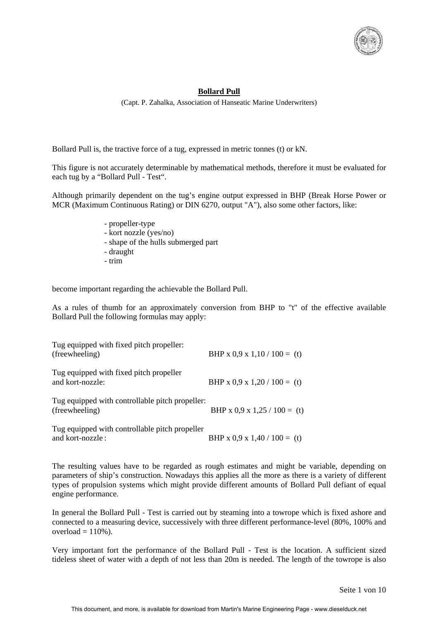

## **Bollard Pull**

(Capt. P. Zahalka, Association of Hanseatic Marine Underwriters)

Bollard Pull is, the tractive force of a tug, expressed in metric tonnes (t) or kN.

This figure is not accurately determinable by mathematical methods, therefore it must be evaluated for each tug by a "Bollard Pull - Test".

Although primarily dependent on the tug's engine output expressed in BHP (Break Horse Power or MCR (Maximum Continuous Rating) or DIN 6270, output "A"), also some other factors, like:

- propeller-type
- kort nozzle (yes/no)
- shape of the hulls submerged part
- draught
- trim

become important regarding the achievable the Bollard Pull.

As a rules of thumb for an approximately conversion from BHP to "t" of the effective available Bollard Pull the following formulas may apply:

| Tug equipped with fixed pitch propeller:<br>(freewheeling)         | BHP x 0,9 x 1,10 / 100 = (t) |
|--------------------------------------------------------------------|------------------------------|
| Tug equipped with fixed pitch propeller<br>and kort-nozzle:        | BHP x 0,9 x 1,20 / 100 = (t) |
| Tug equipped with controllable pitch propeller:<br>(freewheeling)  | BHP x 0,9 x 1,25 / 100 = (t) |
| Tug equipped with controllable pitch propeller<br>and kort-nozzle: | BHP x 0,9 x 1,40 / 100 = (t) |

The resulting values have to be regarded as rough estimates and might be variable, depending on parameters of ship's construction. Nowadays this applies all the more as there is a variety of different types of propulsion systems which might provide different amounts of Bollard Pull defiant of equal engine performance.

In general the Bollard Pull - Test is carried out by steaming into a towrope which is fixed ashore and connected to a measuring device, successively with three different performance-level (80%, 100% and overload  $= 110%$ ).

Very important fort the performance of the Bollard Pull - Test is the location. A sufficient sized tideless sheet of water with a depth of not less than 20m is needed. The length of the towrope is also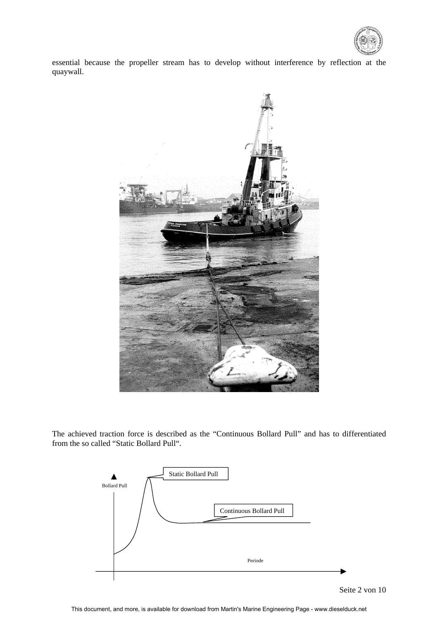

essential because the propeller stream has to develop without interference by reflection at the quaywall.



The achieved traction force is described as the "Continuous Bollard Pull" and has to differentiated from the so called "Static Bollard Pull".

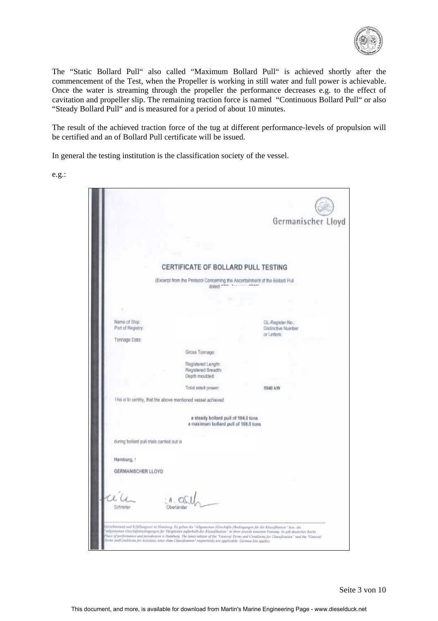

The "Static Bollard Pull" also called "Maximum Bollard Pull" is achieved shortly after the commencement of the Test, when the Propeller is working in still water and full power is achievable. Once the water is streaming through the propeller the performance decreases e.g. to the effect of cavitation and propeller slip. The remaining traction force is named "Continuous Bollard Pull" or also "Steady Bollard Pull" and is measured for a period of about 10 minutes.

The result of the achieved traction force of the tug at different performance-levels of propulsion will be certified and an of Bollard Pull certificate will be issued.

In general the testing institution is the classification society of the vessel.

e.g.:

|                                           |                                                                                        | Germanischer Lloyd                     |
|-------------------------------------------|----------------------------------------------------------------------------------------|----------------------------------------|
|                                           |                                                                                        |                                        |
|                                           |                                                                                        |                                        |
|                                           |                                                                                        |                                        |
|                                           | CERTIFICATE OF BOLLARD PULL TESTING                                                    |                                        |
|                                           | (Excerpt from the Protocol Concerning the Ascertainment of the Bollard Pull<br>dated 1 |                                        |
|                                           |                                                                                        |                                        |
|                                           |                                                                                        |                                        |
| Name of Ship:                             |                                                                                        |                                        |
| Port of Registry:                         |                                                                                        | GL-Register-No.:<br>Distinctive Number |
| Tonnage Data:                             |                                                                                        | or Letters:                            |
|                                           | Gross Tonnage:                                                                         |                                        |
|                                           | Registered Length:                                                                     |                                        |
|                                           | Registered Breadth:<br>Depth moulded:                                                  |                                        |
|                                           | Total rated power:                                                                     | 5940 kW                                |
|                                           | This is to certify, that the above mentioned vessel achieved                           |                                        |
|                                           |                                                                                        |                                        |
|                                           | a steady bollard pull of 104,0 tons<br>a maximum bollard pull of 108.0 tons            |                                        |
|                                           |                                                                                        |                                        |
| during bollard pull trials carried out in |                                                                                        |                                        |
| Hamburg,                                  |                                                                                        |                                        |
| GERMANISCHER LLOYD                        |                                                                                        |                                        |
|                                           |                                                                                        |                                        |
|                                           |                                                                                        |                                        |
| Schreiter                                 | Obertánde                                                                              |                                        |
|                                           |                                                                                        |                                        |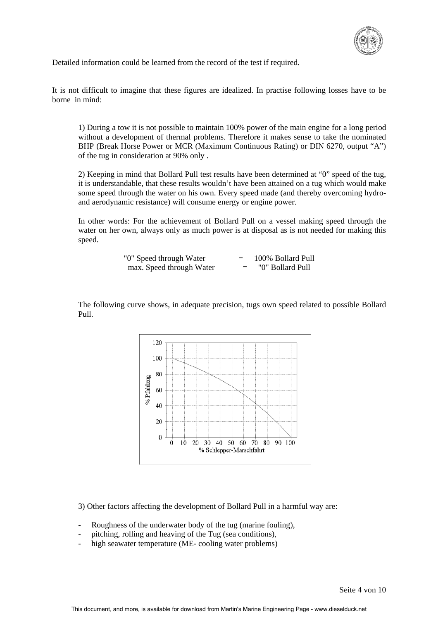

Detailed information could be learned from the record of the test if required.

It is not difficult to imagine that these figures are idealized. In practise following losses have to be borne in mind:

1) During a tow it is not possible to maintain 100% power of the main engine for a long period without a development of thermal problems. Therefore it makes sense to take the nominated BHP (Break Horse Power or MCR (Maximum Continuous Rating) or DIN 6270, output "A") of the tug in consideration at 90% only .

2) Keeping in mind that Bollard Pull test results have been determined at "0" speed of the tug, it is understandable, that these results wouldn't have been attained on a tug which would make some speed through the water on his own. Every speed made (and thereby overcoming hydroand aerodynamic resistance) will consume energy or engine power.

In other words: For the achievement of Bollard Pull on a vessel making speed through the water on her own, always only as much power is at disposal as is not needed for making this speed.

| "0" Speed through Water  | $=$ | 100% Bollard Pull |
|--------------------------|-----|-------------------|
| max. Speed through Water |     | "0" Bollard Pull  |

The following curve shows, in adequate precision, tugs own speed related to possible Bollard Pull.



3) Other factors affecting the development of Bollard Pull in a harmful way are:

- Roughness of the underwater body of the tug (marine fouling),
- pitching, rolling and heaving of the Tug (sea conditions),
- high seawater temperature (ME- cooling water problems)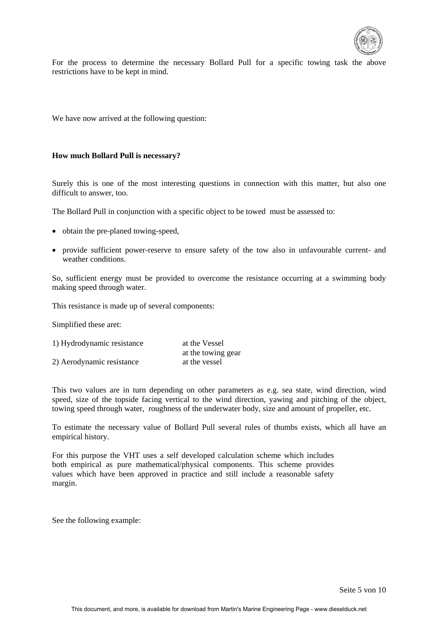

For the process to determine the necessary Bollard Pull for a specific towing task the above restrictions have to be kept in mind.

We have now arrived at the following question:

#### **How much Bollard Pull is necessary?**

Surely this is one of the most interesting questions in connection with this matter, but also one difficult to answer, too.

The Bollard Pull in conjunction with a specific object to be towed must be assessed to:

- obtain the pre-planed towing-speed,
- provide sufficient power-reserve to ensure safety of the tow also in unfavourable current- and weather conditions.

So, sufficient energy must be provided to overcome the resistance occurring at a swimming body making speed through water.

This resistance is made up of several components:

Simplified these aret:

| 1) Hydrodynamic resistance | at the Vessel      |  |  |
|----------------------------|--------------------|--|--|
|                            | at the towing gear |  |  |
| 2) Aerodynamic resistance  | at the vessel      |  |  |

This two values are in turn depending on other parameters as e.g. sea state, wind direction, wind speed, size of the topside facing vertical to the wind direction, yawing and pitching of the object, towing speed through water, roughness of the underwater body, size and amount of propeller, etc.

To estimate the necessary value of Bollard Pull several rules of thumbs exists, which all have an empirical history.

For this purpose the VHT uses a self developed calculation scheme which includes both empirical as pure mathematical/physical components. This scheme provides values which have been approved in practice and still include a reasonable safety margin.

See the following example: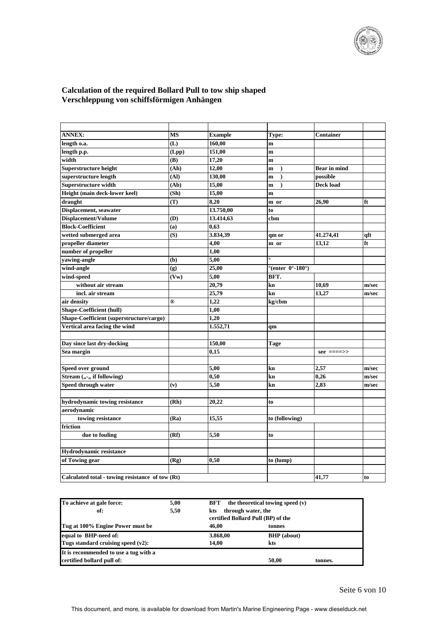

# **Calculation of the required Bollard Pull to tow ship shaped Verschleppung von schiffsförmigen Anhängen**

| <b>ANNEX:</b>                                    | MS             | <b>Example</b> | Type:                                            | Container           |       |
|--------------------------------------------------|----------------|----------------|--------------------------------------------------|---------------------|-------|
| length o.a.                                      | (L)            | 160,00         | m                                                |                     |       |
| length p.p.                                      | (Lpp)          | 151,00         | m                                                |                     |       |
| width                                            | (B)            | 17,20          | m                                                |                     |       |
| Superstructure height                            | (Ah)           | 12,00          | m                                                | <b>Bear</b> in mind |       |
| superstructure length                            | (AI)           | 130,00         | m<br>$\lambda$                                   | possible            |       |
| Superstructure width                             | (Ab)           | 15,00          | m                                                | Deck load           |       |
| Height (main deck-lower keel)                    | (Sh)           | 15,00          | m                                                |                     |       |
| draught                                          | (T)            | 8,20           | m or                                             | 26,90               | ft    |
| Displacement, seawater                           |                | 13.750,00      | to                                               |                     |       |
| Displacement/Volume                              | (D)            | 13.414,63      | cbm                                              |                     |       |
| <b>Block-Coefficient</b>                         | (a)            | 0,63           |                                                  |                     |       |
| wetted submerged area                            | (S)            | 3.834,39       | qm or                                            | 41.274,41           | qft   |
| propeller diameter                               |                | 4,00           | m or                                             | 13,12               | ft    |
| number of propeller                              |                | 1,00           |                                                  |                     |       |
| yawing-angle                                     | (b)            | 5,00           | $\circ$                                          |                     |       |
| wind-angle                                       | (g)            | 25,00          | $^{\circ}$ (enter 0 $^{\circ}$ -180 $^{\circ}$ ) |                     |       |
| wind-speed                                       | (Vw)           | 5,00           | BFT.                                             |                     |       |
| without air stream                               |                | 20,79          | kn                                               | 10,69               | m/sec |
| incl. air stream                                 |                | 25,79          | kn                                               | 13,27               | m/sec |
| air density                                      | $^{\circledR}$ | 1,22           | kg/cbm                                           |                     |       |
| <b>Shape-Coefficient (hull)</b>                  |                | 1,00           |                                                  |                     |       |
| Shape-Coefficient (superstructure/cargo)         |                | 1,20           |                                                  |                     |       |
| Vertical area facing the wind                    |                | 1.552,71       | qm                                               |                     |       |
|                                                  |                |                |                                                  |                     |       |
| Day since last dry-docking                       |                | 150,00         | Tage                                             |                     |       |
| Sea margin                                       |                | 0,15           |                                                  | $see$ ====>>        |       |
|                                                  |                |                |                                                  |                     |       |
| Speed over ground                                |                | 5,00           | kn                                               | 2,57                | m/sec |
| Stream (,,-,, if following)                      |                | 0,50           | kn                                               | 0,26                | m/sec |
| Speed through water                              | (v)            | 5,50           | kn                                               | 2.83                | m/sec |
|                                                  |                |                |                                                  |                     |       |
| hydrodynamic towing resistance                   | (Rh)           | 20,22          | to                                               |                     |       |
| aerodynamic                                      |                |                |                                                  |                     |       |
| towing resistance                                | (Ra)           | 15,55          | to (following)                                   |                     |       |
| friction                                         |                |                |                                                  |                     |       |
| due to fouling                                   | (Rf)           | 5,50           | to                                               |                     |       |
|                                                  |                |                |                                                  |                     |       |
| Hydrodynamic resistance                          |                |                |                                                  |                     |       |
| of Towing gear                                   | (Rg)           | 0,50           | to (lump)                                        |                     |       |
|                                                  |                |                |                                                  |                     |       |
| Calculated total - towing resistance of tow (Rt) |                |                |                                                  | 41,77               | to    |
|                                                  |                |                |                                                  |                     |       |

| To achieve at gale force:             | 5,00 | BFT                                                             | the theoretical towing speed $(v)$ |         |
|---------------------------------------|------|-----------------------------------------------------------------|------------------------------------|---------|
| of:                                   | 5,50 | through water, the<br>kts<br>certified Bollard Pull (BP) of the |                                    |         |
| Tug at 100% Engine Power must be      |      | 46.00                                                           | tonnes                             |         |
| equal to BHP-need of:                 |      | 3.868,00                                                        | <b>BHP</b> (about)                 |         |
| Tugs standard cruising speed (v2):    |      | 14.00                                                           | kts                                |         |
| It is recommended to use a tug with a |      |                                                                 |                                    |         |
| certified bollard pull of:            |      |                                                                 | 50,00                              | tonnes. |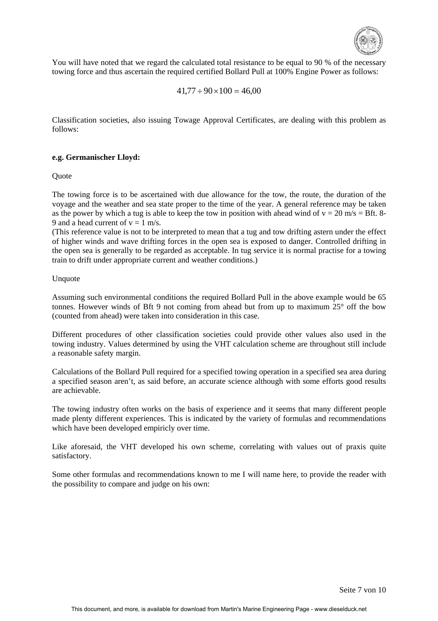

You will have noted that we regard the calculated total resistance to be equal to 90 % of the necessary towing force and thus ascertain the required certified Bollard Pull at 100% Engine Power as follows:

$$
41,77 \div 90 \times 100 = 46,00
$$

Classification societies, also issuing Towage Approval Certificates, are dealing with this problem as follows:

#### **e.g. Germanischer Lloyd:**

**Ouote** 

The towing force is to be ascertained with due allowance for the tow, the route, the duration of the voyage and the weather and sea state proper to the time of the year. A general reference may be taken as the power by which a tug is able to keep the tow in position with ahead wind of  $v = 20$  m/s = Bft. 8-9 and a head current of  $v = 1$  m/s.

(This reference value is not to be interpreted to mean that a tug and tow drifting astern under the effect of higher winds and wave drifting forces in the open sea is exposed to danger. Controlled drifting in the open sea is generally to be regarded as acceptable. In tug service it is normal practise for a towing train to drift under appropriate current and weather conditions.)

#### Unquote

Assuming such environmental conditions the required Bollard Pull in the above example would be 65 tonnes. However winds of Bft 9 not coming from ahead but from up to maximum 25° off the bow (counted from ahead) were taken into consideration in this case.

Different procedures of other classification societies could provide other values also used in the towing industry. Values determined by using the VHT calculation scheme are throughout still include a reasonable safety margin.

Calculations of the Bollard Pull required for a specified towing operation in a specified sea area during a specified season aren't, as said before, an accurate science although with some efforts good results are achievable.

The towing industry often works on the basis of experience and it seems that many different people made plenty different experiences. This is indicated by the variety of formulas and recommendations which have been developed empiricly over time.

Like aforesaid, the VHT developed his own scheme, correlating with values out of praxis quite satisfactory.

Some other formulas and recommendations known to me I will name here, to provide the reader with the possibility to compare and judge on his own: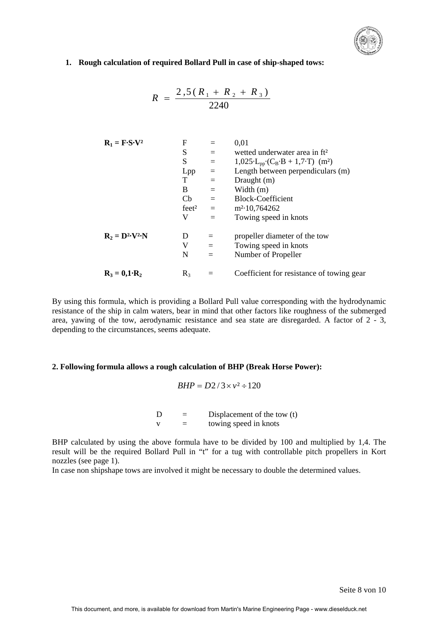

### **1. Rough calculation of required Bollard Pull in case of ship-shaped tows:**

$$
R = \frac{2,5(R_1 + R_2 + R_3)}{2240}
$$

| $R_1 = F \cdot S \cdot V^2$ | F                                                                      | = 0,01 |
|-----------------------------|------------------------------------------------------------------------|--------|
| S                           | = 0,025·L <sub>pp</sub> ·(C <sub>B</sub> ·B + 1,7·T) (m <sup>2</sup> ) |        |
| Lpp                         | = 1,025·L <sub>pp</sub> ·(C <sub>B</sub> ·B + 1,7·T) (m <sup>2</sup> ) |        |
| Lpp                         | = 1,025·L <sub>pp</sub> ·(C <sub>B</sub> ·B + 1,7·T) (m <sup>2</sup> ) |        |
| T                           | = 0,000                                                                |        |
| T                           | = 0,000                                                                |        |
| T                           | = 0,000                                                                |        |
| T                           | = 0,000                                                                |        |
| W                           | = 0,000                                                                |        |
| W                           | = 0,000                                                                |        |
| W                           | = 0,000                                                                |        |

\n $R_2 = D^2 \cdot V^2 \cdot N$ 

\n $D = 0,000$ 

\n $D = 0,000$ 

\n $D = 0,000$ 

\n $D = 0,000$ 

\n $D = 0,000$ 

\n $D = 0,000$ 

\n $D = 0,000$ 

\n $D = 0,000$ 

\n $D = 0,000$ 

\n $D = 0,000$ 

\n $D = 0,000$ 

\n $D = 0,000$ 

\n $D = 0,000$ 

\n $D = 0,000$ 

\n $D = 0,000$ 

\n $D = 0,000$ 

\n $D = 0,000$ 

\n $D = 0,000$ 

\n $D = 0,0$ 

By using this formula, which is providing a Bollard Pull value corresponding with the hydrodynamic resistance of the ship in calm waters, bear in mind that other factors like roughness of the submerged area, yawing of the tow, aerodynamic resistance and sea state are disregarded. A factor of 2 - 3, depending to the circumstances, seems adequate.

#### **2. Following formula allows a rough calculation of BHP (Break Horse Power):**

$$
BHP = D2/3 \times v^2 \div 120
$$

 $D =$  Displacement of the tow (t)  $v =$  towing speed in knots

BHP calculated by using the above formula have to be divided by 100 and multiplied by 1,4. The result will be the required Bollard Pull in "t" for a tug with controllable pitch propellers in Kort nozzles (see page 1).

In case non shipshape tows are involved it might be necessary to double the determined values.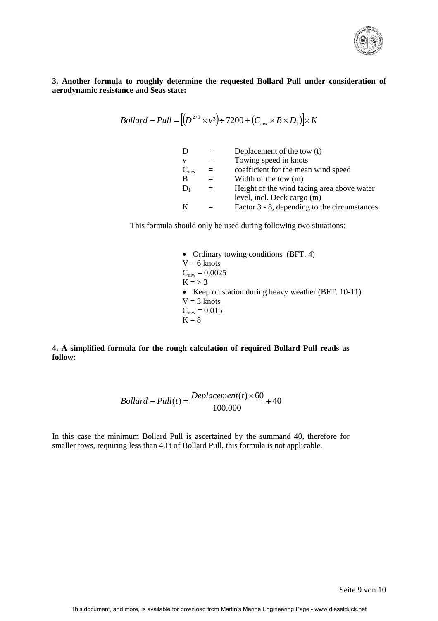

**3. Another formula to roughly determine the requested Bollard Pull under consideration of aerodynamic resistance and Seas state:** 

$$
Bollard - Pull = [(D2/3 \times v3) \div 7200 + (Cmw \times B \times D1)] \times K
$$

| Towing speed in knots<br>V                             |  |
|--------------------------------------------------------|--|
| coefficient for the mean wind speed<br>$C_{mw}$<br>$=$ |  |
| Width of the tow $(m)$<br>В                            |  |
| Height of the wind facing area above water<br>$D_1$    |  |
| level, incl. Deck cargo (m)                            |  |
| Factor 3 - 8, depending to the circumstances<br>K      |  |

This formula should only be used during following two situations:

• Ordinary towing conditions (BFT. 4)  $V = 6$  knots  $C_{mw} = 0,0025$  $K = > 3$ • Keep on station during heavy weather (BFT. 10-11)  $V = 3$  knots  $C_{mw} = 0,015$  $K = 8$ 

**4. A simplified formula for the rough calculation of required Bollard Pull reads as follow:** 

$$
Bollard - Pull(t) = \frac{Deplacement(t) \times 60}{100.000} + 40
$$

In this case the minimum Bollard Pull is ascertained by the summand 40, therefore for smaller tows, requiring less than 40 t of Bollard Pull, this formula is not applicable.